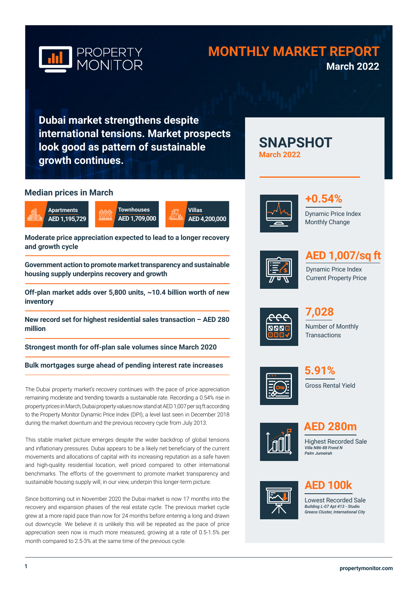

# **MONTHLY MARKET REPORT March 2022**

**SNAPSHOT** 

**Dubai market strengthens despite international tensions. Market prospects look good as pattern of sustainable growth continues.**

**Villas**

**AED 4,200,000**

### **Median prices in March**



**Moderate price appreciation expected to lead to a longer recovery and growth cycle** 

**Government action to promote market transparency and sustainable housing supply underpins recovery and growth**

**Off-plan market adds over 5,800 units, ~10.4 billion worth of new inventory**

**New record set for highest residential sales transaction – AED 280 million**

**Strongest month for off-plan sale volumes since March 2020** 

### **Bulk mortgages surge ahead of pending interest rate increases**

The Dubai property market's recovery continues with the pace of price appreciation remaining moderate and trending towards a sustainable rate. Recording a 0.54% rise in property prices in March, Dubai property values now stand at AED 1,007 per sq ft according to the Property Monitor Dynamic Price Index (DPI), a level last seen in December 2018 during the market downturn and the previous recovery cycle from July 2013.

This stable market picture emerges despite the wider backdrop of global tensions and inflationary pressures. Dubai appears to be a likely net beneficiary of the current movements and allocations of capital with its increasing reputation as a safe haven and high-quality residential location, well priced compared to other international benchmarks. The efforts of the government to promote market transparency and sustainable housing supply will, in our view, underpin this longer-term picture.

Since bottoming out in November 2020 the Dubai market is now 17 months into the recovery and expansion phases of the real estate cycle. The previous market cycle grew at a more rapid pace than now for 24 months before entering a long and drawn out downcycle. We believe it is unlikely this will be repeated as the pace of price appreciation seen now is much more measured, growing at a rate of 0.5-1.5% per month compared to 2.5-3% at the same time of the previous cycle.



**March 2022**



Monthly Change



# **AED 1,007/sq ft**

Dynamic Price Index Current Property Price



Number of Monthly **Transactions 7,028**







**AED 280m**

Highest Recorded Sale *Villa N86-88 Frond N Palm Jumeirah*



# **AED 100k**

Lowest Recorded Sale *Building L-07 Apt 413 - Studio Greece Cluster, International City*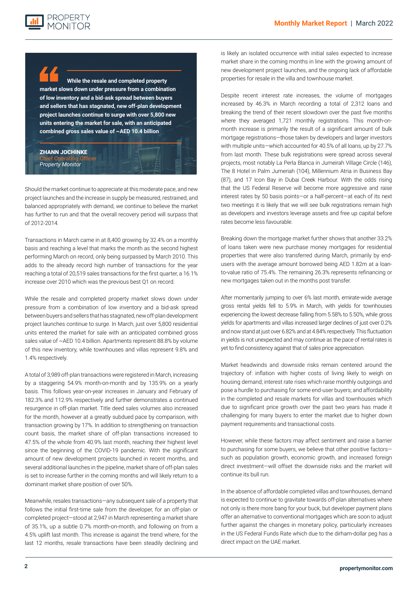

**While the resale and completed property market slows down under pressure from a combination of low inventory and a bid-ask spread between buyers and sellers that has stagnated, new off-plan development project launches continue to surge with over 5,800 new units entering the market for sale, with an anticipated combined gross sales value of ~AED 10.4 billion**

#### ZHANN JOCHINKE Chief Operating Officer *Property Monitor*

Should the market continue to appreciate at this moderate pace, and new project launches and the increase in supply be measured, restrained, and balanced appropriately with demand, we continue to believe the market has further to run and that the overall recovery period will surpass that of 2012-2014.

Transactions in March came in at 8,400 growing by 32.4% on a monthly basis and reaching a level that marks the month as the second highest performing March on record, only being surpassed by March 2010. This adds to the already record high number of transactions for the year reaching a total of 20,519 sales transactions for the first quarter, a 16.1% increase over 2010 which was the previous best Q1 on record.

While the resale and completed property market slows down under pressure from a combination of low inventory and a bid-ask spread between buyers and sellers that has stagnated, new off-plan development project launches continue to surge. In March, just over 5,800 residential units entered the market for sale with an anticipated combined gross sales value of ~AED 10.4 billion. Apartments represent 88.8% by volume of this new inventory, while townhouses and villas represent 9.8% and 1.4% respectively.

A total of 3,989 off-plan transactions were registered in March, increasing by a staggering 54.9% month-on-month and by 135.9% on a yearly basis. This follows year-on-year increases in January and February of 182.3% and 112.9% respectively and further demonstrates a continued resurgence in off-plan market. Title deed sales volumes also increased for the month, however at a greatly subdued pace by comparison, with transaction growing by 17%. In addition to strengthening on transaction count basis, the market share of off-plan transactions increased to 47.5% of the whole from 40.9% last month, reaching their highest level since the beginning of the COVID-19 pandemic. With the significant amount of new development projects launched in recent months, and several additional launches in the pipeline, market share of off-plan sales is set to increase further in the coming months and will likely return to a dominant market share position of over 50%.

Meanwhile, resales transactions—any subsequent sale of a property that follows the initial first-time sale from the developer, for an off-plan or completed project—stood at 2,947 in March representing a market share of 35.1%, up a subtle 0.7% month-on-month, and following on from a 4.5% uplift last month. This increase is against the trend where, for the last 12 months, resale transactions have been steadily declining and

is likely an isolated occurrence with initial sales expected to increase market share in the coming months in line with the growing amount of new development project launches, and the ongoing lack of affordable properties for resale in the villa and townhouse market.

Despite recent interest rate increases, the volume of mortgages increased by 46.3% in March recording a total of 2,312 loans and breaking the trend of their recent slowdown over the past five months where they averaged 1,721 monthly registrations. This month-onmonth increase is primarily the result of a significant amount of bulk mortgage registrations—those taken by developers and larger investors with multiple units—which accounted for 40.5% of all loans, up by 27.7% from last month. These bulk registrations were spread across several projects, most notably La Perla Blanca in Jumeirah Village Circle (146), The 8 Hotel in Palm Jumeriah (104), Millennium Atria in Business Bay (87), and 17 Icon Bay in Dubai Creek Harbour. With the odds rising that the US Federal Reserve will become more aggressive and raise interest rates by 50 basis points—or a half-percent—at each of its next two meetings it is likely that we will see bulk registrations remain high as developers and investors leverage assets and free up capital before rates become less favourable.

Breaking down the mortgage market further shows that another 33.2% of loans taken were new purchase money mortgages for residential properties that were also transferred during March, primarily by endusers with the average amount borrowed being AED 1.82m at a loanto-value ratio of 75.4%. The remaining 26.3% represents refinancing or new mortgages taken out in the months post transfer.

After momentarily jumping to over 6% last month, emirate-wide average gross rental yields fell to 5.9% in March, with yields for townhouses experiencing the lowest decrease falling from 5.58% to 5.50%, while gross yields for apartments and villas increased larger declines of just over 0.2% and now stand at just over 6.82% and at 4.84% respectively. This fluctuation in yields is not unexpected and may continue as the pace of rental rates is yet to find consistency against that of sales price appreciation.

Market headwinds and downside risks remain centered around the trajectory of: inflation with higher costs of living likely to weigh on housing demand; interest rate rises which raise monthly outgoings and pose a hurdle to purchasing for some end-user buyers; and affordability in the completed and resale markets for villas and townhouses which due to significant price growth over the past two years has made it challenging for many buyers to enter the market due to higher down payment requirements and transactional costs.

However, while these factors may affect sentiment and raise a barrier to purchasing for some buyers, we believe that other positive factors such as population growth, economic growth, and increased foreign direct investment—will offset the downside risks and the market will continue its bull run.

In the absence of affordable completed villas and townhouses, demand is expected to continue to gravitate towards off-plan alternatives where not only is there more bang for your buck, but developer payment plans offer an alternative to conventional mortgages which are soon to adjust further against the changes in monetary policy, particularly increases in the US Federal Funds Rate which due to the dirham-dollar peg has a direct impact on the UAE market.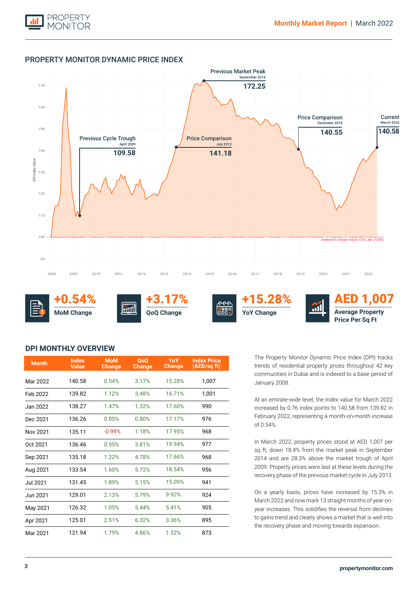

### PROPERTY MONITOR DYNAMIC PRICE INDEX



+0.54% **MoM Change \$**



**QoQ Change**





## AED 1,007 **Average Property Price Per Sq Ft**

### **DPI MONTHLY OVERVIEW**

| <b>Month</b>    | <b>Index</b><br><b>Value</b> | <b>MoM</b><br><b>Change</b> | <b>OoO</b><br><b>Change</b> | YoY<br><b>Change</b> | <b>Index Price</b><br>(AED/sq ft) |
|-----------------|------------------------------|-----------------------------|-----------------------------|----------------------|-----------------------------------|
| Mar 2022        | 140.58                       | 0.54%                       | 3.17%                       | 15.28%               | 1,007                             |
| Feb 2022        | 139.82                       | 1.12%                       | 3.48%                       | 16.71%               | 1,001                             |
| Jan 2022        | 138.27                       | 1.47%                       | 1.32%                       | 17.60%               | 990                               |
| Dec 2021        | 136.26                       | 0.85%                       | 0.80%                       | 17.17%               | 976                               |
| Nov 2021        | 135.11                       | $-0.99%$                    | 1.18%                       | 17.95%               | 968                               |
| Oct 2021        | 136.46                       | 0.95%                       | 3.81%                       | 19.94%               | 977                               |
| Sep 2021        | 135.18                       | 1.22%                       | 4.78%                       | 17.66%               | 968                               |
| Aug 2021        | 133.54                       | 1.60%                       | 5.72%                       | 18.54%               | 956                               |
| <b>Jul 2021</b> | 131.45                       | 1.89%                       | 5.15%                       | 15.09%               | 941                               |
| Jun 2021        | 129.01                       | 2.13%                       | 5.79%                       | 9.92%                | 924                               |
| May 2021        | 126.32                       | 1.05%                       | 5.44%                       | 5.41%                | 905                               |
| Apr 2021        | 125.01                       | 2.51%                       | 6.32%                       | 3.36%                | 895                               |
| Mar 2021        | 121.94                       | 1.79%                       | 4.86%                       | 1.32%                | 873                               |

The Property Monitor Dynamic Price Index (DPI) tracks trends of residential property prices throughout 42 key communities in Dubai and is indexed to a base period of January 2008.

At an emirate-wide level, the index value for March 2022 increased by 0.76 index points to 140.58 from 139.82 in February 2022, representing a month-on-month increase of 0.54%.

In March 2022, property prices stood at AED 1,007 per sq ft, down 18.4% from the market peak in September 2014 and are 28.3% above the market trough of April 2009. Property prices were last at these levels during the recovery phase of the previous market cycle in July 2013.

On a yearly basis, prices have increased by 15.3% in March 2022 and now mark 13 straight months of year-onyear increases. This solidifies the reversal from declines to gains trend and clearly shows a market that is well into the recovery phase and moving towards expansion.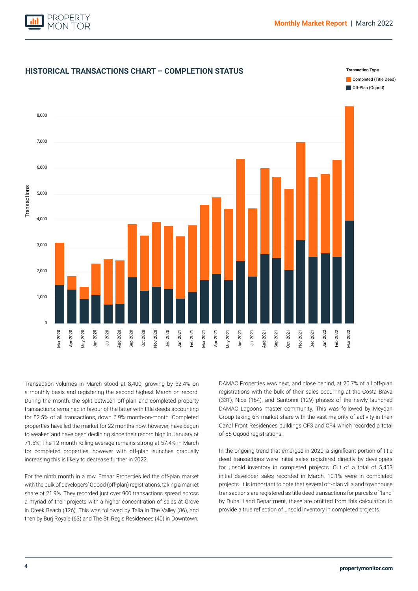



Transaction volumes in March stood at 8,400, growing by 32.4% on a monthly basis and registering the second highest March on record. During the month, the split between off-plan and completed property transactions remained in favour of the latter with title deeds accounting for 52.5% of all transactions, down 6.9% month-on-month. Completed properties have led the market for 22 months now, however, have begun to weaken and have been declining since their record high in January of 71.5%. The 12-month rolling average remains strong at 57.4% in March for completed properties, however with off-plan launches gradually increasing this is likely to decrease further in 2022.

For the ninth month in a row, Emaar Properties led the off-plan market with the bulk of developers' Oqood (off-plan) registrations, taking a market share of 21.9%. They recorded just over 900 transactions spread across a myriad of their projects with a higher concentration of sales at Grove in Creek Beach (126). This was followed by Talia in The Valley (86), and then by Burj Royale (63) and The St. Regis Residences (40) in Downtown.

DAMAC Properties was next, and close behind, at 20.7% of all off-plan registrations with the bulk of their sales occurring at the Costa Brava (331), Nice (164), and Santorini (129) phases of the newly launched DAMAC Lagoons master community. This was followed by Meydan Group taking 6% market share with the vast majority of activity in their Canal Front Residences buildings CF3 and CF4 which recorded a total of 85 Oqood registrations.

In the ongoing trend that emerged in 2020, a significant portion of title deed transactions were initial sales registered directly by developers for unsold inventory in completed projects. Out of a total of 5,453 initial developer sales recorded in March, 10.1% were in completed projects. It is important to note that several off-plan villa and townhouse transactions are registered as title deed transactions for parcels of 'land' by Dubai Land Department, these are omitted from this calculation to provide a true reflection of unsold inventory in completed projects.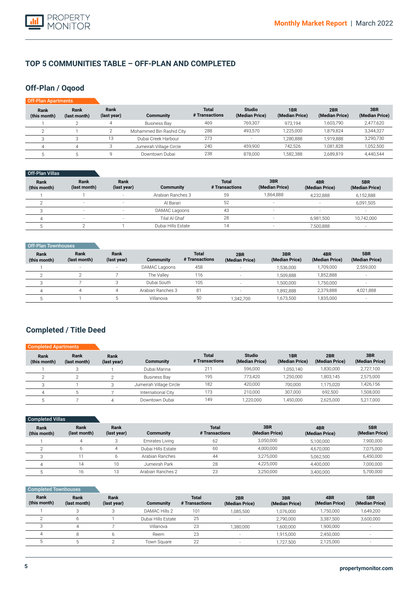

### **TOP 5 COMMUNITIES TABLE – OFF-PLAN AND COMPLETED**

### **Off-Plan / Oqood**

| Off-Plan Apartments  |                      |                     |                          |                                |                                 |                                   |                       |                       |
|----------------------|----------------------|---------------------|--------------------------|--------------------------------|---------------------------------|-----------------------------------|-----------------------|-----------------------|
| Rank<br>(this month) | Rank<br>(last month) | Rank<br>(last year) | <b>Community</b>         | <b>Total</b><br># Transactions | <b>Studio</b><br>(Median Price) | 1 <sub>BR</sub><br>(Median Price) | 2BR<br>(Median Price) | 3BR<br>(Median Price) |
|                      |                      |                     | Business Bay             | 469                            | 769.307                         | 973.194                           | 1.603.790             | 2,477,620             |
|                      |                      |                     | Mohammed Bin Rashid City | 288                            | 493.570                         | 1.225.000                         | 1.879.824             | 3,344,327             |
|                      |                      | 13                  | Dubai Creek Harbour      | 273                            |                                 | 1,280,888                         | 1.919.888             | 3,290,730             |
|                      | 4                    |                     | Jumeirah Village Circle  | 240                            | 459.900                         | 742.526                           | 1.081.828             | 1,052,500             |
|                      |                      |                     | Downtown Dubai           | 238                            | 878,000                         | 1,582,388                         | 2,689,819             | 4,440,544             |

#### Off-Plan Villas

| Rank<br>(this month) | Rank<br>(last month)     | Rank<br>(last year) | <b>Community</b>   | <b>Total</b><br># Transactions | 3BR<br>(Median Price)    | 4BR<br>(Median Price) | 5BR<br>(Median Price)    |
|----------------------|--------------------------|---------------------|--------------------|--------------------------------|--------------------------|-----------------------|--------------------------|
|                      |                          | ۰.                  | Arabian Ranches 3  | 59                             | 1.864.888                | 4,232,888             | 6,152,888                |
|                      |                          |                     | Al Barari          | 52                             |                          |                       | 6,091,505                |
|                      |                          | ۰.                  | DAMAC Lagoons      | 43                             | $\overline{a}$           |                       |                          |
|                      | $\overline{\phantom{a}}$ |                     | Tilal Al Ghaf      | 28                             | $\overline{\phantom{a}}$ | 6.981.500             | 10,742,000               |
|                      |                          |                     | Dubai Hills Estate | Δ                              |                          | 7,500,888             | $\overline{\phantom{a}}$ |

| Off-Plan Townhouses         |                          |                     |                   |                                |                       |                       |                       |                          |
|-----------------------------|--------------------------|---------------------|-------------------|--------------------------------|-----------------------|-----------------------|-----------------------|--------------------------|
| <b>Rank</b><br>(this month) | Rank<br>(last month)     | Rank<br>(last year) | Community         | <b>Total</b><br># Transactions | 2BR<br>(Median Price) | 3BR<br>(Median Price) | 4BR<br>(Median Price) | 5BR<br>(Median Price)    |
|                             | $\overline{\phantom{a}}$ | $\sim$              | DAMAC Lagoons     | 458                            |                       | 1,536,000             | 1,709,000             | 2,559,000                |
|                             |                          |                     | The Valley        | 116                            |                       | 1,509,888             | 1,852,888             | $\overline{\phantom{a}}$ |
|                             |                          |                     | Dubai South       | 105                            |                       | 1.500.000             | 1,750,000             |                          |
| Δ                           |                          |                     | Arabian Ranches 3 | 81                             |                       | 1.892.888             | 2,379,888             | 4,021,888                |
|                             |                          |                     | Villanova         | 50                             | 1,342,700             | 1,673,500             | 1,835,000             | $\overline{\phantom{a}}$ |

## **Completed / Title Deed**

| <b>Completed Apartments</b> |                      |                     |                         |                                |                                 |                       |                       |                       |
|-----------------------------|----------------------|---------------------|-------------------------|--------------------------------|---------------------------------|-----------------------|-----------------------|-----------------------|
| Rank<br>(this month)        | Rank<br>(last month) | Rank<br>(last year) | Community               | <b>Total</b><br># Transactions | <b>Studio</b><br>(Median Price) | 1BR<br>(Median Price) | 2BR<br>(Median Price) | 3BR<br>(Median Price) |
|                             | 3                    |                     | Dubai Marina            | 211                            | 596.000                         | 1,050,140             | ,830,000              | 2,727,100             |
|                             |                      |                     | <b>Business Bay</b>     | 195                            | 773.420                         | 1,250,000             | 1,803,145             | 2,575,000             |
|                             |                      |                     | Jumeirah Village Circle | 182                            | 420,000                         | 700.000               | 1,175,020             | 1,426,156             |
|                             |                      |                     | International City      | 173                            | 210,000                         | 307.000               | 692.500               | 1,508,000             |
|                             |                      |                     | Downtown Dubai          | 149                            | ,220,000                        | 1.450.000             | 2,625,000             | 5.217.000             |

| Completed Villas     |                      |                     |                    |                                |                       |                       |                       |
|----------------------|----------------------|---------------------|--------------------|--------------------------------|-----------------------|-----------------------|-----------------------|
| Rank<br>(this month) | Rank<br>(last month) | Rank<br>(last year) | <b>Community</b>   | <b>Total</b><br># Transactions | 3BR<br>(Median Price) | 4BR<br>(Median Price) | 5BR<br>(Median Price) |
|                      |                      |                     | Emirates Living    | 62                             | 3,050,000             | 5,100,000             | 7,900,000             |
|                      |                      |                     | Dubai Hills Estate | 60                             | 4,000,000             | 4,670,000             | 7,075,000             |
|                      |                      |                     | Arabian Ranches    | 44                             | 3,275,000             | 5,062,500             | 6,450,000             |
|                      | 14                   | 10                  | Jumeirah Park      | 28                             | 4,225,000             | 4,400,000             | 7,000,000             |
|                      | 16                   | 13                  | Arabian Ranches 2  | 23                             | 3,250,000             | 3,400,000             | 5,700,000             |

### Completed Townhouses

| Rank<br>(this month) | Rank<br>(last month) | Rank<br>(last year) | Community          | <b>Total</b><br># Transactions | 2BR<br>(Median Price)    | 3BR<br>(Median Price) | 4BR<br>(Median Price) | 5BR<br>(Median Price) |
|----------------------|----------------------|---------------------|--------------------|--------------------------------|--------------------------|-----------------------|-----------------------|-----------------------|
|                      |                      |                     | DAMAC Hills 2      | 101                            | 1.085.500                | 1,076,000             | 1,750,000             | 1,649,200             |
|                      |                      |                     | Dubai Hills Estate | 25                             | $\overline{\phantom{a}}$ | 2.790.000             | 3.387.500             | 3,600,000             |
|                      |                      |                     | Villanova          | 23                             | 1,380,000                | 1.600.000             | 1,900,000             |                       |
|                      |                      |                     | Reem               | 23                             | $\sim$                   | 1.915.000             | 2.450.000             |                       |
|                      |                      |                     | Town Square        | 22                             | н.                       | ,727,500              | 2,125,000             |                       |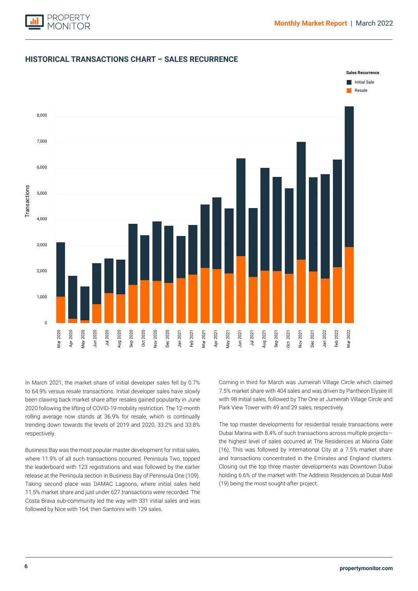

### **HISTORICAL TRANSACTIONS CHART – SALES RECURRENCE**



In March 2021, the market share of initial developer sales fell by 0.7% to 64.9% versus resale transactions. Initial developer sales have slowly been clawing back market share after resales gained popularity in June 2020 following the lifting of COVID-19 mobility restriction. The 12-month rolling average now stands at 36.9% for resale, which is continually trending down towards the levels of 2019 and 2020, 33.2% and 33.8% respectively.

Business Bay was the most popular master development for initial sales, where 11.9% of all such transactions occurred. Peninsula Two, topped the leaderboard with 123 registrations and was followed by the earlier release at the Peninsula section in Business Bay of Peninsula One (109). Taking second place was DAMAC Lagoons, where initial sales held 11.5% market share and just under 627 transactions were recorded. The Costa Brava sub-community led the way with 331 initial sales and was followed by Nice with 164, then Santorini with 129 sales.

Coming in third for March was Jumeirah Village Circle which claimed 7.5% market share with 404 sales and was driven by Pantheon Elysee III with 98 initial sales, followed by The One at Jumeirah Village Circle and Park View Tower with 49 and 29 sales, respectively.

The top master developments for residential resale transactions were Dubai Marina with 8.4% of such transactions across multiple projects the highest level of sales occurred at The Residences at Marina Gate (16). This was followed by International City at a 7.5% market share and transactions concentrated in the Emirates and England clusters. Closing out the top three master developments was Downtown Dubai holding 6.6% of the market with The Address Residences at Dubai Mall (19) being the most sought-after project.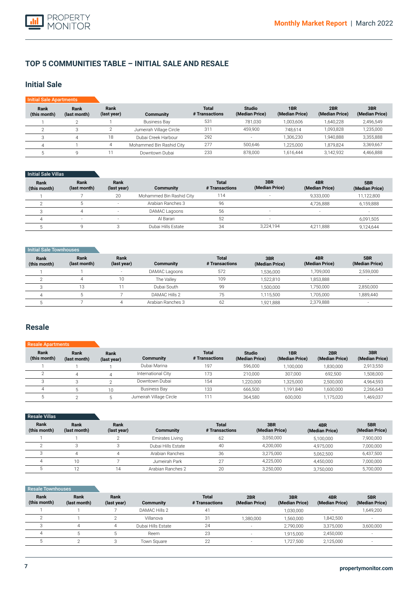

### **TOP 5 COMMUNITIES TABLE – INITIAL SALE AND RESALE**

### **Initial Sale**

| <b>Initial Sale Apartments</b> |                      |                     |                          |                                |                                 |                       |                       |                       |
|--------------------------------|----------------------|---------------------|--------------------------|--------------------------------|---------------------------------|-----------------------|-----------------------|-----------------------|
| Rank<br>(this month)           | Rank<br>(last month) | Rank<br>(last year) | <b>Community</b>         | <b>Total</b><br># Transactions | <b>Studio</b><br>(Median Price) | 1BR<br>(Median Price) | 2BR<br>(Median Price) | 3BR<br>(Median Price) |
|                                |                      |                     | <b>Business Bay</b>      | 531                            | 781.030                         | 1,003,606             | 1,640,228             | 2,496,549             |
|                                |                      |                     | Jumeirah Village Circle  | 311                            | 459,900                         | 748.614               | 1.093.828             | 1,235,000             |
| З                              |                      | 18                  | Dubai Creek Harbour      | 292                            | $\overline{\phantom{a}}$        | 1.306.230             | 1,940,888             | 3,355,888             |
|                                |                      | 4                   | Mohammed Bin Rashid City | 277                            | 500,646                         | 1,225,000             | 1,879,824             | 3,369,667             |
|                                |                      |                     | Downtown Dubai           | 233                            | 878,000                         | 1.616.444             | 3,142,932             | 4,466,888             |

### Initial Sale Villas

| Rank<br>(this month) | Rank<br>(last month) | Rank<br>(last year) | Community                | <b>Total</b><br># Transactions | 3BR<br>(Median Price)    | 4BR<br>(Median Price) | 5BR<br>(Median Price) |
|----------------------|----------------------|---------------------|--------------------------|--------------------------------|--------------------------|-----------------------|-----------------------|
|                      |                      | 20                  | Mohammed Bin Rashid City | 114                            |                          | 9.333.000             | 11.122.800            |
|                      |                      |                     | Arabian Ranches 3        | 96                             |                          | 4,726,888             | 6,159,888             |
|                      |                      |                     | DAMAC Lagoons            | 56                             | $\sim$                   | -                     | -                     |
|                      | $\sim$               |                     | Al Barari                | 52                             | $\overline{\phantom{0}}$ |                       | 6,091,505             |
|                      |                      |                     | Dubai Hills Estate       | 34                             | 3.224.194                | 4,211,888             | 9,124,644             |

#### **Initial Sale Townhouses**

| Rank<br>(this month) | Rank<br>(last month) | Rank<br>(last year)      | Community         | <b>Total</b><br># Transactions | 3BR<br>(Median Price) | 4BR<br>(Median Price) | 5BR<br>(Median Price) |
|----------------------|----------------------|--------------------------|-------------------|--------------------------------|-----------------------|-----------------------|-----------------------|
|                      |                      | $\overline{\phantom{a}}$ | DAMAC Lagoons     | 572                            | 1,536,000             | 1.709.000             | 2,559,000             |
|                      |                      | 10                       | The Vallev        | 109                            | 1,522,810             | 853,888               |                       |
|                      | 13                   |                          | Dubai South       | 99                             | 1,500,000             | ,750,000              | 2,850,000             |
|                      |                      |                          | DAMAC Hills 2     | 75                             | 1,115,500             | 1.705.000             | 1,889,440             |
|                      |                      |                          | Arabian Ranches 3 | 62                             | 1,921,888             | 2,379,888             | $\sim$                |

### **Resale**

#### **Rank (this month)** 1  $\overline{2}$ 3 4 5 **Rank (last month)** 1 4 3 5 2 **Rank (last year)** 1 4  $\overline{2}$ 10 5 **Community**  Dubai Marina International City Downtown Dubai Business Bay Jumeirah Village Circle **Total # Transactions** 197 173 154 133 111 Resale A **Studio (Median Price)** 596,000 210,000 1,220,000 666,500 364,580 **1BR (Median Price)** 1,100,000 307,000 1,325,000 1,191,840 600,000 **2BR (Median Price)** 1,830,000 692,500 2,500,000 1,600,000 1,175,020 **3BR (Median Price)** 2,913,550 1,508,000 4,964,593 2,266,643 1,469,037

| <b>Resale Villas</b> |                      |                     |                    |                                |                       |                       |                       |
|----------------------|----------------------|---------------------|--------------------|--------------------------------|-----------------------|-----------------------|-----------------------|
| Rank<br>(this month) | Rank<br>(last month) | Rank<br>(last year) | <b>Community</b>   | <b>Total</b><br># Transactions | 3BR<br>(Median Price) | 4BR<br>(Median Price) | 5BR<br>(Median Price) |
|                      |                      |                     | Emirates Living    | 62                             | 3,050,000             | 5,100,000             | 7,900,000             |
| $\sim$               |                      |                     | Dubai Hills Estate | 40                             | 4,200,000             | 4.975.000             | 7,000,000             |
|                      |                      |                     | Arabian Ranches    | 36                             | 3.275.000             | 5.062.500             | 6,437,500             |
| $\Delta$             | 10                   |                     | Jumeirah Park      | 27                             | 4,225,000             | 4,450,000             | 7,000,000             |
|                      | 12                   | 14                  | Arabian Ranches 2  | 20                             | 3,250,000             | 3,750,000             | 5,700,000             |

#### Resale Townhouses

| Rank<br>(this month) | Rank<br>(last month) | Rank<br>(last year) | Community          | <b>Total</b><br># Transactions | 2BR<br>(Median Price) | 3BR<br>(Median Price) | 4BR<br>(Median Price) | 5BR<br>(Median Price) |
|----------------------|----------------------|---------------------|--------------------|--------------------------------|-----------------------|-----------------------|-----------------------|-----------------------|
|                      |                      |                     | DAMAC Hills 2      | 41                             |                       | 1.030.000             | -                     | 1,649,200             |
|                      |                      |                     | Villanova          | 31                             | 1.380.000             | 1.560.000             | 1.842.500             |                       |
|                      |                      |                     | Dubai Hills Estate | 24                             |                       | 2.790.000             | 3,375,000             | 3,600,000             |
|                      |                      |                     | Reem               | 23                             |                       | 1.915.000             | 2,450,000             |                       |
|                      |                      |                     | Town Square        | 22                             | $\sim$                | 1.727.500             | 2,125,000             |                       |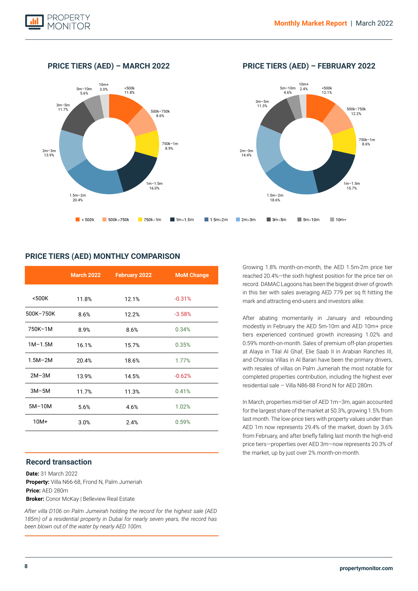

**PRICE TIERS (AED) – MARCH 2022 PRICE TIERS (AED) – FEBRUARY 2022**



### **PRICE TIERS (AED) MONTHLY COMPARISON**

|             | <b>March 2022</b> | February 2022 | <b>MoM Change</b> |
|-------------|-------------------|---------------|-------------------|
|             |                   |               |                   |
| $500K$      | 11.8%             | 12.1%         | $-0.31%$          |
| 500K-750K   | 8.6%              | 12.2%         | $-3.58%$          |
| 750K-1M     | 8.9%              | 8.6%          | 0.34%             |
| $1M-1.5M$   | 16.1%             | 15.7%         | 0.35%             |
| $1.5M - 2M$ | 20.4%             | 18.6%         | 1.77%             |
| $2M-3M$     | 13.9%             | 14.5%         | $-0.62%$          |
| $3M-5M$     | 11.7%             | 11.3%         | 0.41%             |
| $5M-10M$    | 5.6%              | 4.6%          | 1.02%             |
| $10M+$      | 3.0%              | 2.4%          | 0.59%             |

### **Record transaction**

**Date:** 31 March 2022 **Property:** Villa N66-68, Frond N, Palm Jumeriah **Price:** AED 280m **Broker:** Conor McKay | Belleview Real Estate

*After villa D106 on Palm Jumeirah holding the record for the highest sale (AED 185m) of a residential property in Dubai for nearly seven years, the record has been blown out of the water by nearly AED 100m.*

Growing 1.8% month-on-month, the AED 1.5m-2m price tier reached 20.4%—the sixth highest position for the price tier on record. DAMAC Lagoons has been the biggest driver of growth in this tier with sales averaging AED 779 per sq ft hitting the mark and attracting end-users and investors alike.

After abating momentarily in January and rebounding modestly in February the AED 5m-10m and AED 10m+ price tiers experienced continued growth increasing 1.02% and 0.59% month-on-month. Sales of premium off-plan properties at Alaya in Tilal Al Ghaf, Elie Saab II in Arabian Ranches III, and Chorisia Villas in Al Barari have been the primary drivers, with resales of villas on Palm Jumeriah the most notable for completed properties contribution, including the highest ever residential sale – Villa N86-88 Frond N for AED 280m.

In March, properties mid-tier of AED 1m–3m, again accounted for the largest share of the market at 50.3%, growing 1.5% from last month. The low-price tiers with property values under than AED 1m now represents 29.4% of the market, down by 3.6% from February, and after briefly falling last month the high-end price tiers—properties over AED 3m—now represents 20.3% of the market, up by just over 2% month-on-month.